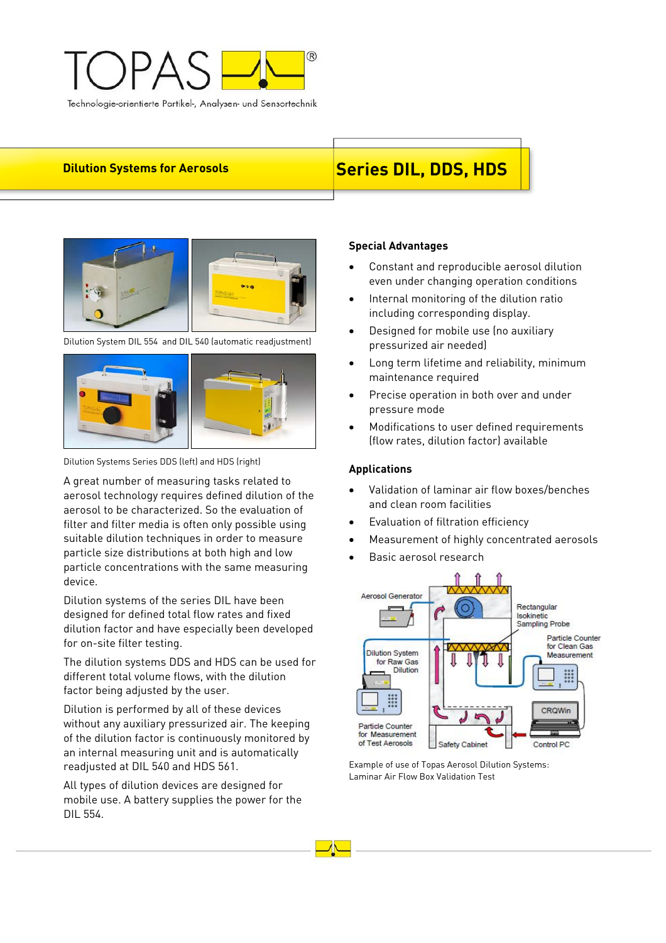

# **Dilution Systems for Aerosols** Series DIL, DDS, HDS



Dilution System DIL 554 and DIL 540 (automatic readjustment)



Dilution Systems Series DDS (left) and HDS (right)

A great number of measuring tasks related to aerosol technology requires defined dilution of the aerosol to be characterized. So the evaluation of filter and filter media is often only possible using suitable dilution techniques in order to measure particle size distributions at both high and low particle concentrations with the same measuring device.

Dilution systems of the series DIL have been designed for defined total flow rates and fixed dilution factor and have especially been developed for on-site filter testing.

The dilution systems DDS and HDS can be used for different total volume flows, with the dilution factor being adjusted by the user.

Dilution is performed by all of these devices without any auxiliary pressurized air. The keeping of the dilution factor is continuously monitored by an internal measuring unit and is automatically readjusted at DIL 540 and HDS 561.

All types of dilution devices are designed for mobile use. A battery supplies the power for the DIL 554.

# **Special Advantages**

- Constant and reproducible aerosol dilution even under changing operation conditions
- Internal monitoring of the dilution ratio including corresponding display.
- Designed for mobile use (no auxiliary pressurized air needed)
- Long term lifetime and reliability, minimum maintenance required
- Precise operation in both over and under pressure mode
- Modifications to user defined requirements (flow rates, dilution factor) available

# **Applications**

- Validation of laminar air flow boxes/benches and clean room facilities
- Evaluation of filtration efficiency
- Measurement of highly concentrated aerosols
- Basic aerosol research



Example of use of Topas Aerosol Dilution Systems: Laminar Air Flow Box Validation Test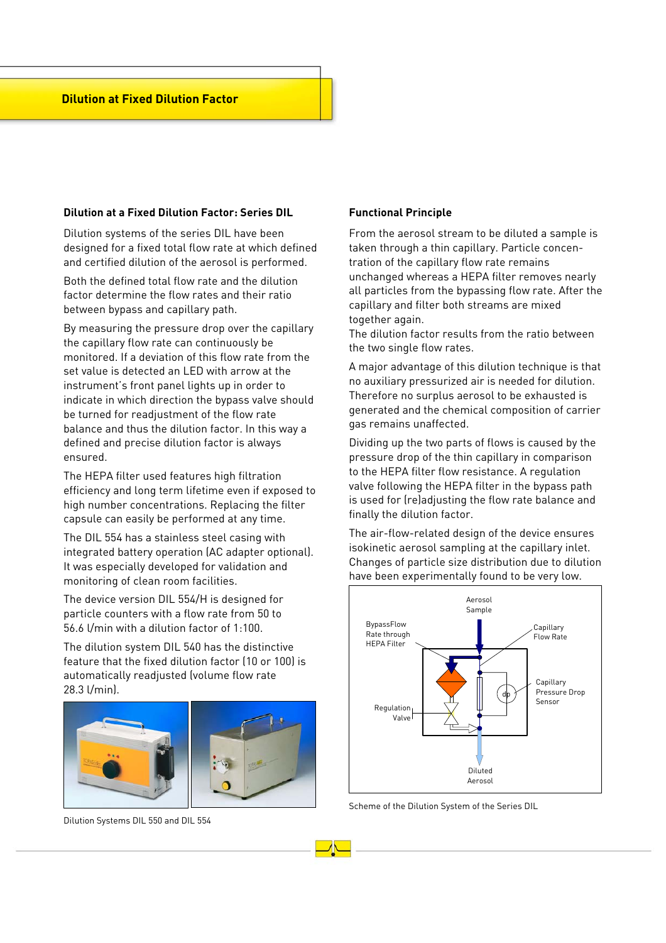### **Dilution at a Fixed Dilution Factor: Series DIL**

Dilution systems of the series DIL have been designed for a fixed total flow rate at which defined and certified dilution of the aerosol is performed.

Both the defined total flow rate and the dilution factor determine the flow rates and their ratio between bypass and capillary path.

By measuring the pressure drop over the capillary the capillary flow rate can continuously be monitored. If a deviation of this flow rate from the set value is detected an LED with arrow at the instrument's front panel lights up in order to indicate in which direction the bypass valve should be turned for readjustment of the flow rate balance and thus the dilution factor. In this way a defined and precise dilution factor is always ensured.

The HEPA filter used features high filtration efficiency and long term lifetime even if exposed to high number concentrations. Replacing the filter capsule can easily be performed at any time.

The DIL 554 has a stainless steel casing with integrated battery operation (AC adapter optional). It was especially developed for validation and monitoring of clean room facilities.

The device version DIL 554/H is designed for particle counters with a flow rate from 50 to 56.6 l/min with a dilution factor of 1:100.

The dilution system DIL 540 has the distinctive feature that the fixed dilution factor (10 or 100) is automatically readjusted (volume flow rate 28.3 l/min).



Dilution Systems DIL 550 and DIL 554

## **Functional Principle**

From the aerosol stream to be diluted a sample is taken through a thin capillary. Particle concentration of the capillary flow rate remains unchanged whereas a HEPA filter removes nearly all particles from the bypassing flow rate. After the capillary and filter both streams are mixed together again.

The dilution factor results from the ratio between the two single flow rates.

A major advantage of this dilution technique is that no auxiliary pressurized air is needed for dilution. Therefore no surplus aerosol to be exhausted is generated and the chemical composition of carrier gas remains unaffected.

Dividing up the two parts of flows is caused by the pressure drop of the thin capillary in comparison to the HEPA filter flow resistance. A regulation valve following the HEPA filter in the bypass path is used for (re)adjusting the flow rate balance and finally the dilution factor.

The air-flow-related design of the device ensures isokinetic aerosol sampling at the capillary inlet. Changes of particle size distribution due to dilution have been experimentally found to be very low.



Scheme of the Dilution System of the Series DIL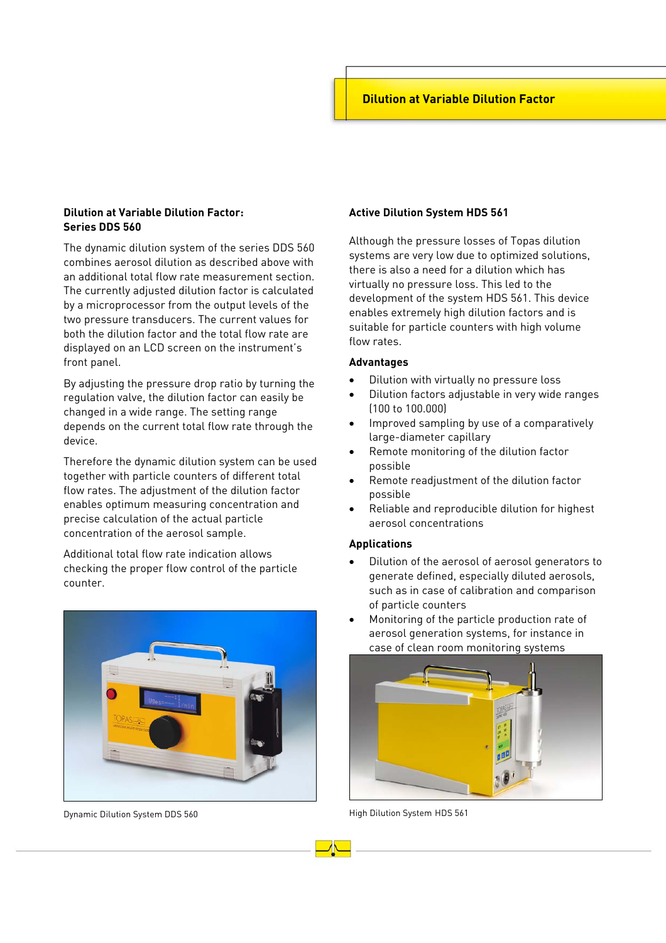# **Dilution at Variable Dilution Factor: Series DDS 560**

The dynamic dilution system of the series DDS 560 combines aerosol dilution as described above with an additional total flow rate measurement section. The currently adjusted dilution factor is calculated by a microprocessor from the output levels of the two pressure transducers. The current values for both the dilution factor and the total flow rate are displayed on an LCD screen on the instrument's front panel.

By adjusting the pressure drop ratio by turning the regulation valve, the dilution factor can easily be changed in a wide range. The setting range depends on the current total flow rate through the device.

Therefore the dynamic dilution system can be used together with particle counters of different total flow rates. The adjustment of the dilution factor enables optimum measuring concentration and precise calculation of the actual particle concentration of the aerosol sample.

Additional total flow rate indication allows checking the proper flow control of the particle counter.



Dynamic Dilution System DDS 560

### **Active Dilution System HDS 561**

Although the pressure losses of Topas dilution systems are very low due to optimized solutions, there is also a need for a dilution which has virtually no pressure loss. This led to the development of the system HDS 561. This device enables extremely high dilution factors and is suitable for particle counters with high volume flow rates.

#### **Advantages**

- Dilution with virtually no pressure loss
- Dilution factors adjustable in very wide ranges (100 to 100.000)
- Improved sampling by use of a comparatively large-diameter capillary
- Remote monitoring of the dilution factor possible
- Remote readjustment of the dilution factor possible
- Reliable and reproducible dilution for highest aerosol concentrations

## **Applications**

- Dilution of the aerosol of aerosol generators to generate defined, especially diluted aerosols, such as in case of calibration and comparison of particle counters
- Monitoring of the particle production rate of aerosol generation systems, for instance in case of clean room monitoring systems



High Dilution System HDS 561